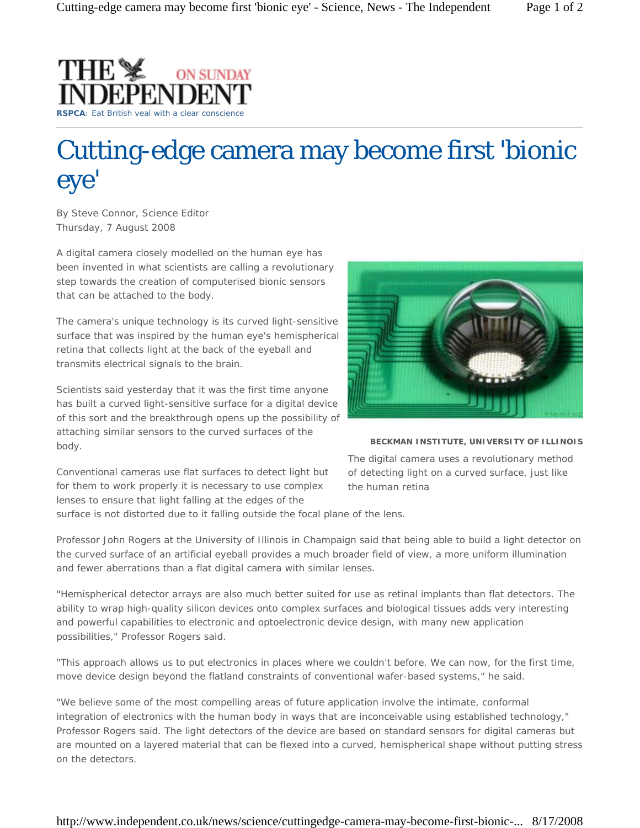

## Cutting-edge camera may become first 'bionic eye'

By Steve Connor, Science Editor *Thursday, 7 August 2008*

A digital camera closely modelled on the human eye has been invented in what scientists are calling a revolutionary step towards the creation of computerised bionic sensors that can be attached to the body.

The camera's unique technology is its curved light-sensitive surface that was inspired by the human eye's hemispherical retina that collects light at the back of the eyeball and transmits electrical signals to the brain.

Scientists said yesterday that it was the first time anyone has built a curved light-sensitive surface for a digital device of this sort and the breakthrough opens up the possibility of attaching similar sensors to the curved surfaces of the body.



**BECKMAN INSTITUTE, UNIVERSITY OF ILLINOIS**

Conventional cameras use flat surfaces to detect light but for them to work properly it is necessary to use complex lenses to ensure that light falling at the edges of the

*The digital camera uses a revolutionary method of detecting light on a curved surface, just like the human retina* 

surface is not distorted due to it falling outside the focal plane of the lens.

Professor John Rogers at the University of Illinois in Champaign said that being able to build a light detector on the curved surface of an artificial eyeball provides a much broader field of view, a more uniform illumination and fewer aberrations than a flat digital camera with similar lenses.

"Hemispherical detector arrays are also much better suited for use as retinal implants than flat detectors. The ability to wrap high-quality silicon devices onto complex surfaces and biological tissues adds very interesting and powerful capabilities to electronic and optoelectronic device design, with many new application possibilities," Professor Rogers said.

"This approach allows us to put electronics in places where we couldn't before. We can now, for the first time, move device design beyond the flatland constraints of conventional wafer-based systems," he said.

"We believe some of the most compelling areas of future application involve the intimate, conformal integration of electronics with the human body in ways that are inconceivable using established technology," Professor Rogers said. The light detectors of the device are based on standard sensors for digital cameras but are mounted on a layered material that can be flexed into a curved, hemispherical shape without putting stress on the detectors.